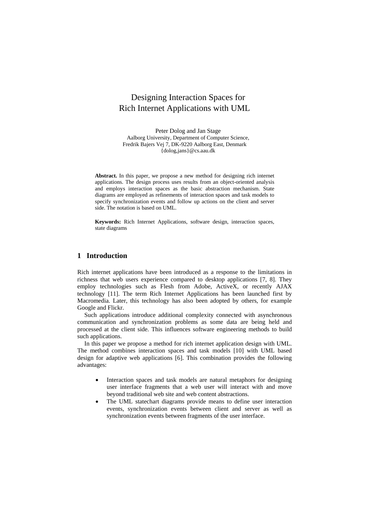# Designing Interaction Spaces for Rich Internet Applications with UML

Peter Dolog and Jan Stage Aalborg University, Department of Computer Science, Fredrik Bajers Vej 7, DK-9220 Aalborg East, Denmark {dolog,jans}@cs.aau.dk

**Abstract.** In this paper, we propose a new method for designing rich internet applications. The design process uses results from an object-oriented analysis and employs interaction spaces as the basic abstraction mechanism. State diagrams are employed as refinements of interaction spaces and task models to specify synchronization events and follow up actions on the client and server side. The notation is based on UML.

**Keywords:** Rich Internet Applications, software design, interaction spaces, state diagrams

## **1 Introduction**

Rich internet applications have been introduced as a response to the limitations in richness that web users experience compared to desktop applications [7, 8]. They employ technologies such as Flesh from Adobe, ActiveX, or recently AJAX technology [11]. The term Rich Internet Applications has been launched first by Macromedia. Later, this technology has also been adopted by others, for example Google and Flickr.

Such applications introduce additional complexity connected with asynchronous communication and synchronization problems as some data are being held and processed at the client side. This influences software engineering methods to build such applications.

In this paper we propose a method for rich internet application design with UML. The method combines interaction spaces and task models [10] with UML based design for adaptive web applications [6]. This combination provides the following advantages:

- Interaction spaces and task models are natural metaphors for designing user interface fragments that a web user will interact with and move beyond traditional web site and web content abstractions.
- The UML statechart diagrams provide means to define user interaction events, synchronization events between client and server as well as synchronization events between fragments of the user interface.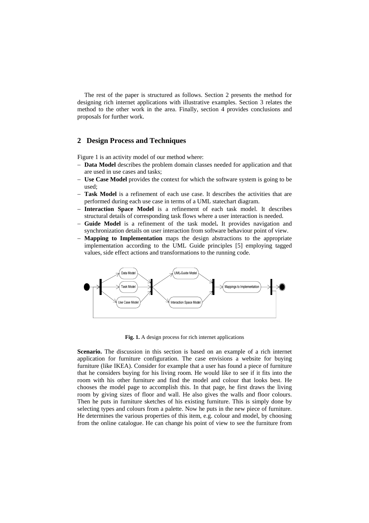The rest of the paper is structured as follows. Section 2 presents the method for designing rich internet applications with illustrative examples. Section 3 relates the method to the other work in the area. Finally, section 4 provides conclusions and proposals for further work.

#### **2 Design Process and Techniques**

Figure 1 is an activity model of our method where:

- − **Data Model** describes the problem domain classes needed for application and that are used in use cases and tasks;
- − **Use Case Model** provides the context for which the software system is going to be used;
- − **Task Model** is a refinement of each use case. It describes the activities that are performed during each use case in terms of a UML statechart diagram.
- **Interaction Space Model** is a refinement of each task model. It describes structural details of corresponding task flows where a user interaction is needed.
- − **Guide Model** is a refinement of the task model**.** It provides navigation and synchronization details on user interaction from software behaviour point of view.
- **Mapping to Implementation** maps the design abstractions to the appropriate implementation according to the UML Guide principles [5] employing tagged values, side effect actions and transformations to the running code.



**Fig. 1.** A design process for rich internet applications

**Scenario.** The discussion in this section is based on an example of a rich internet application for furniture configuration. The case envisions a website for buying furniture (like IKEA). Consider for example that a user has found a piece of furniture that he considers buying for his living room. He would like to see if it fits into the room with his other furniture and find the model and colour that looks best. He chooses the model page to accomplish this. In that page, he first draws the living room by giving sizes of floor and wall. He also gives the walls and floor colours. Then he puts in furniture sketches of his existing furniture. This is simply done by selecting types and colours from a palette. Now he puts in the new piece of furniture. He determines the various properties of this item, e.g. colour and model, by choosing from the online catalogue. He can change his point of view to see the furniture from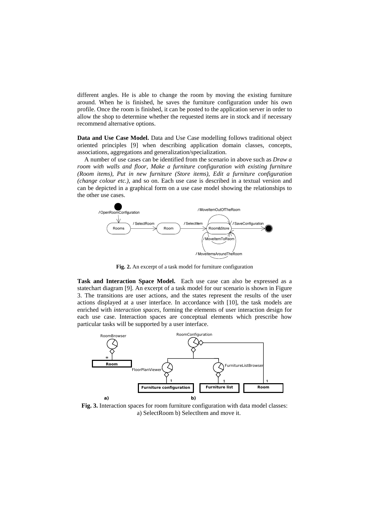different angles. He is able to change the room by moving the existing furniture around. When he is finished, he saves the furniture configuration under his own profile. Once the room is finished, it can be posted to the application server in order to allow the shop to determine whether the requested items are in stock and if necessary recommend alternative options.

**Data and Use Case Model.** Data and Use Case modelling follows traditional object oriented principles [9] when describing application domain classes, concepts, associations, aggregations and generalization/specialization.

A number of use cases can be identified from the scenario in above such as *Draw a room with walls and floor*, *Make a furniture configuration with existing furniture (Room items)*, *Put in new furniture (Store items)*, *Edit a furniture configuration (change colour etc.)*, and so on. Each use case is described in a textual version and can be depicted in a graphical form on a use case model showing the relationships to the other use cases.



**Fig. 2.** An excerpt of a task model for furniture configuration

**Task and Interaction Space Model.** Each use case can also be expressed as a statechart diagram [9]. An excerpt of a task model for our scenario is shown in Figure 3. The transitions are user actions, and the states represent the results of the user actions displayed at a user interface. In accordance with [10], the task models are enriched with *interaction spaces*, forming the elements of user interaction design for each use case. Interaction spaces are conceptual elements which prescribe how particular tasks will be supported by a user interface.



**Fig. 3.** Interaction spaces for room furniture configuration with data model classes: a) SelectRoom b) SelectItem and move it.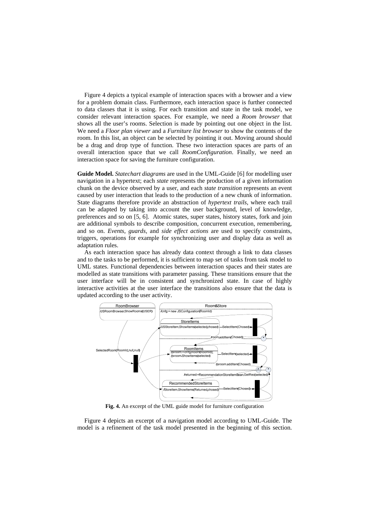Figure 4 depicts a typical example of interaction spaces with a browser and a view for a problem domain class. Furthermore, each interaction space is further connected to data classes that it is using. For each transition and state in the task model, we consider relevant interaction spaces. For example, we need a *Room browser* that shows all the user's rooms. Selection is made by pointing out one object in the list. We need a *Floor plan viewer* and a *Furniture list browser* to show the contents of the room. In this list, an object can be selected by pointing it out. Moving around should be a drag and drop type of function. These two interaction spaces are parts of an overall interaction space that we call *RoomConfiguration*. Finally, we need an interaction space for saving the furniture configuration.

**Guide Model.** *Statechart diagrams* are used in the UML-Guide [6] for modelling user navigation in a hypertext; each *state* represents the production of a given information chunk on the device observed by a user, and each *state transition* represents an event caused by user interaction that leads to the production of a new chunk of information. State diagrams therefore provide an abstraction of *hypertext trails*, where each trail can be adapted by taking into account the user background, level of knowledge, preferences and so on [5, 6]. Atomic states, super states, history states, fork and join are additional symbols to describe composition, concurrent execution, remembering, and so on. *Events, guards,* and *side effect actions* are used to specify constraints, triggers, operations for example for synchronizing user and display data as well as adaptation rules.

As each interaction space has already data context through a link to data classes and to the tasks to be performed, it is sufficient to map set of tasks from task model to UML states. Functional dependencies between interaction spaces and their states are modelled as state transitions with parameter passing. These transitions ensure that the user interface will be in consistent and synchronized state. In case of highly interactive activities at the user interface the transitions also ensure that the data is updated according to the user activity.



**Fig. 4.** An excerpt of the UML guide model for furniture configuration

Figure 4 depicts an excerpt of a navigation model according to UML-Guide. The model is a refinement of the task model presented in the beginning of this section.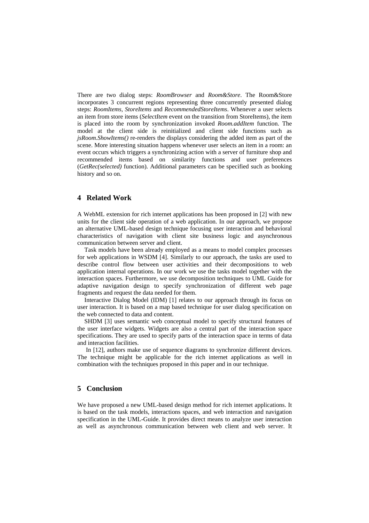There are two dialog steps: *RoomBrowser* and *Room&Store*. The Room&Store incorporates 3 concurrent regions representing three concurrently presented dialog steps: *RoomItems*, *StoreItems* and *RecommendedStoreItems*. Whenever a user selects an item from store items (*SelectItem* event on the transition from StoreItems), the item is placed into the room by synchronization invoked *Room.addItem* function. The model at the client side is reinitialized and client side functions such as *jsRoom.ShowItems()* re-renders the displays considering the added item as part of the scene. More interesting situation happens whenever user selects an item in a room: an event occurs which triggers a synchronizing action with a server of furniture shop and recommended items based on similarity functions and user preferences (*GetRec(selected)* function). Additional parameters can be specified such as booking history and so on.

### **4 Related Work**

A WebML extension for rich internet applications has been proposed in [2] with new units for the client side operation of a web application. In our approach, we propose an alternative UML-based design technique focusing user interaction and behavioral characteristics of navigation with client site business logic and asynchronous communication between server and client.

Task models have been already employed as a means to model complex processes for web applications in WSDM [4]. Similarly to our approach, the tasks are used to describe control flow between user activities and their decompositions to web application internal operations. In our work we use the tasks model together with the interaction spaces. Furthermore, we use decomposition techniques to UML Guide for adaptive navigation design to specify synchronization of different web page fragments and request the data needed for them.

Interactive Dialog Model (IDM) [1] relates to our approach through its focus on user interaction. It is based on a map based technique for user dialog specification on the web connected to data and content.

SHDM [3] uses semantic web conceptual model to specify structural features of the user interface widgets. Widgets are also a central part of the interaction space specifications. They are used to specify parts of the interaction space in terms of data and interaction facilities.

In [12], authors make use of sequence diagrams to synchronize different devices. The technique might be applicable for the rich internet applications as well in combination with the techniques proposed in this paper and in our technique.

#### **5 Conclusion**

We have proposed a new UML-based design method for rich internet applications. It is based on the task models, interactions spaces, and web interaction and navigation specification in the UML-Guide. It provides direct means to analyze user interaction as well as asynchronous communication between web client and web server. It